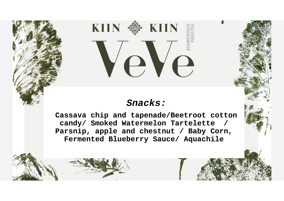# **EXIIN** KIIN · Ve

# **Snacks:**

**Cassava chip and tapenade/Beetroot cotton candy/ Smoked Watermelon Tartelette / Parsnip, apple and chestnut / Baby Corn, Fermented Blueberry Sauce/ Aquachile**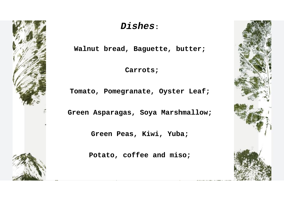

# **Dishes:**

**Walnut bread, Baguette, butter;**

**Carrots;**

**Tomato, Pomegranate, Oyster Leaf;**

**Green Asparagas, Soya Marshmallow;**

**Green Peas, Kiwi, Yuba;**

**Potato, coffee and miso;**

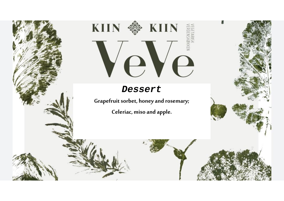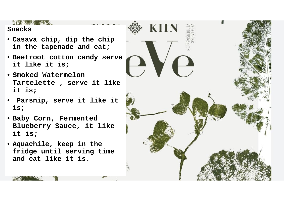#### $\mathcal{L} = \mathcal{L} = \mathcal{L}$

# **Snacks**

- **Casava chip, dip the chip in the tapenade and eat;**
- **Beetroot cotton candy serve it like it is;**
- **Smoked Watermelon Tartelette , serve it like it is;**
- **Parsnip, serve it like it is;**
- **Baby Corn, Fermented Blueberry Sauce, it like it is;**
- **Aquachile, keep in the fridge until serving time and eat like it is.**

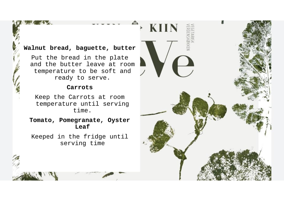# **Walnut bread, baguette, butter**

Put the bread in the plate and the butter leave at room temperature to be soft and ready to serve.

#### **Carrots**

Keep the Carrots at room temperature until serving time.

**Tomato, Pomegranate, Oyster Leaf**

Keeped in the fridge until serving time

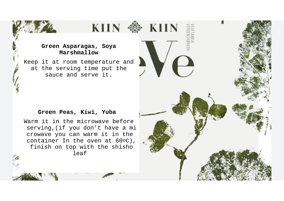### **Green Asparagas, Soya Marshmallow**

Keep it at room temperature and at the serving time put the sauce and serve it.

#### **Green Peas, Kiwi, Yuba**

Warm it in the microwave before serving,(if you don't have a mi crowave you can warm it in the container In the oven at 60°C), finish on top with the shisho leaf

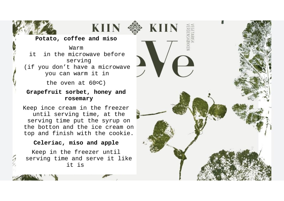

## **Potato, coffee and miso**

**KIIN** 

Warm it in the microwave before serving (if you don't have a microwave you can warm it in

the oven at 60°C)

## **Grapefruit sorbet, honey and rosemary**

Keep ince cream in the freezer until serving time, at the serving time put the syrup on the botton and the ice cream on top and finish with the cookie.

#### **Celeriac, miso and apple**

Keep in the freezer until serving time and serve it like it is